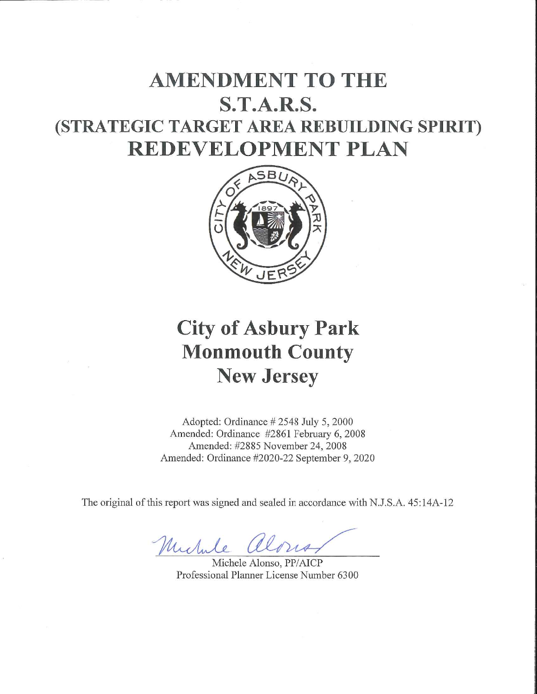## **AMENDMENT TO THE S.T.A.R.S.** (STRATEGIC TARGET AREA REBUILDING SPIRIT) **REDEVELOPMENT PLAN**



# **City of Asbury Park Monmouth County New Jersey**

Adopted: Ordinance #2548 July 5, 2000 Amended: Ordinance #2861 February 6, 2008 Amended: #2885 November 24, 2008 Amended: Ordinance #2020-22 September 9, 2020

The original of this report was signed and sealed in accordance with N.J.S.A. 45:14A-12

Michile along

Michele Alonso, PP/AICP Professional Planner License Number 6300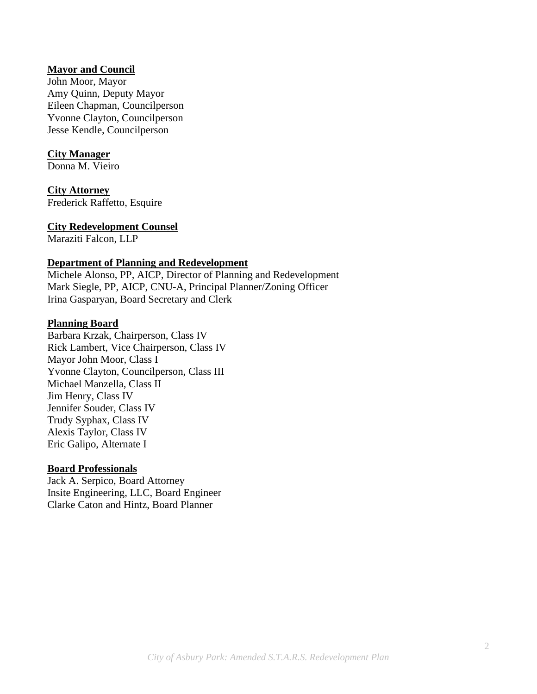#### **Mayor and Council**

John Moor, Mayor Amy Quinn, Deputy Mayor Eileen Chapman, Councilperson Yvonne Clayton, Councilperson Jesse Kendle, Councilperson

#### **City Manager**

Donna M. Vieiro

#### **City Attorney**

Frederick Raffetto, Esquire

#### **City Redevelopment Counsel**

Maraziti Falcon, LLP

#### **Department of Planning and Redevelopment**

Michele Alonso, PP, AICP, Director of Planning and Redevelopment Mark Siegle, PP, AICP, CNU-A, Principal Planner/Zoning Officer Irina Gasparyan, Board Secretary and Clerk

#### **Planning Board**

Barbara Krzak, Chairperson, Class IV Rick Lambert, Vice Chairperson, Class IV Mayor John Moor, Class I Yvonne Clayton, Councilperson, Class III Michael Manzella, Class II Jim Henry, Class IV Jennifer Souder, Class IV Trudy Syphax, Class IV Alexis Taylor, Class IV Eric Galipo, Alternate I

#### **Board Professionals**

Jack A. Serpico, Board Attorney Insite Engineering, LLC, Board Engineer Clarke Caton and Hintz, Board Planner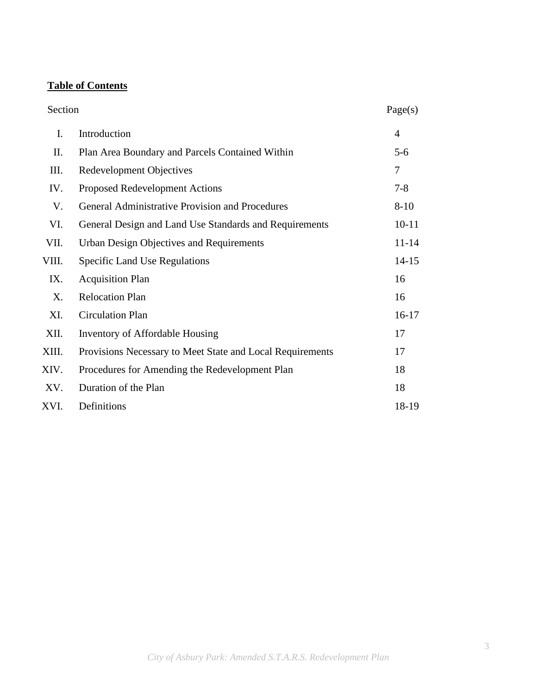#### **Table of Contents**

## Section Page(s) I. Introduction 4 II. Plan Area Boundary and Parcels Contained Within 5-6 III. Redevelopment Objectives 7 IV. Proposed Redevelopment Actions 7-8 V. General Administrative Provision and Procedures 8-10 VI. General Design and Land Use Standards and Requirements 10-11 VII. Urban Design Objectives and Requirements 11-14 VIII. Specific Land Use Regulations 14-15 IX. Acquisition Plan 16 X. Relocation Plan 16 XI. Circulation Plan 16-17 XII. Inventory of Affordable Housing 17 XIII. Provisions Necessary to Meet State and Local Requirements 17 XIV. Procedures for Amending the Redevelopment Plan 18 XV. Duration of the Plan 18 XVI. Definitions 18-19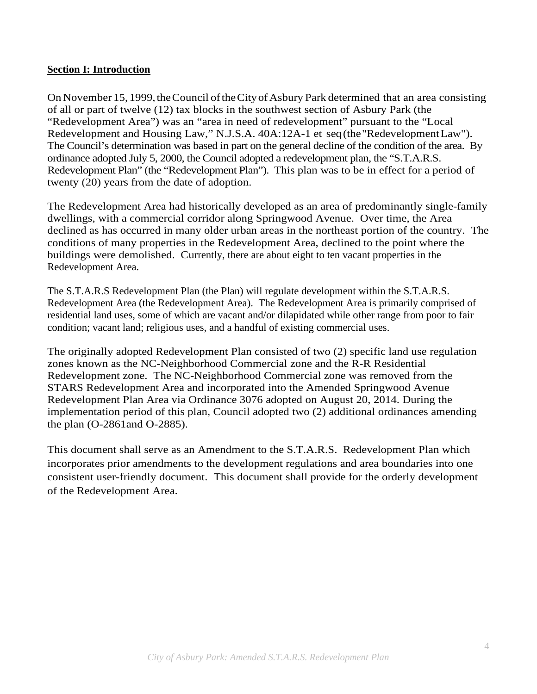#### **Section I: Introduction**

On November 15, 1999, the Council of the City of Asbury Park determined that an area consisting of all or part of twelve (12) tax blocks in the southwest section of Asbury Park (the "Redevelopment Area") was an "area in need of redevelopment" pursuant to the "Local Redevelopment and Housing Law," N.J.S.A. 40A:12A-1 et seq (the "Redevelopment Law"). The Council's determination was based in part on the general decline of the condition of the area. By ordinance adopted July 5, 2000, the Council adopted a redevelopment plan, the "S.T.A.R.S. Redevelopment Plan" (the "Redevelopment Plan"). This plan was to be in effect for a period of twenty (20) years from the date of adoption.

The Redevelopment Area had historically developed as an area of predominantly single-family dwellings, with a commercial corridor along Springwood Avenue. Over time, the Area declined as has occurred in many older urban areas in the northeast portion of the country. The conditions of many properties in the Redevelopment Area, declined to the point where the buildings were demolished. Currently, there are about eight to ten vacant properties in the Redevelopment Area.

The S.T.A.R.S Redevelopment Plan (the Plan) will regulate development within the S.T.A.R.S. Redevelopment Area (the Redevelopment Area). The Redevelopment Area is primarily comprised of residential land uses, some of which are vacant and/or dilapidated while other range from poor to fair condition; vacant land; religious uses, and a handful of existing commercial uses.

The originally adopted Redevelopment Plan consisted of two (2) specific land use regulation zones known as the NC-Neighborhood Commercial zone and the R-R Residential Redevelopment zone. The NC-Neighborhood Commercial zone was removed from the STARS Redevelopment Area and incorporated into the Amended Springwood Avenue Redevelopment Plan Area via Ordinance 3076 adopted on August 20, 2014. During the implementation period of this plan, Council adopted two (2) additional ordinances amending the plan (O-2861and O-2885).

This document shall serve as an Amendment to the S.T.A.R.S. Redevelopment Plan which incorporates prior amendments to the development regulations and area boundaries into one consistent user-friendly document. This document shall provide for the orderly development of the Redevelopment Area.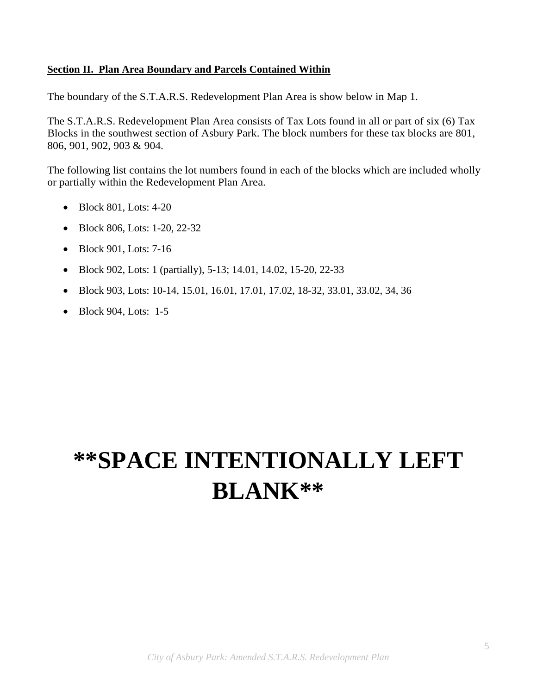#### **Section II. Plan Area Boundary and Parcels Contained Within**

The boundary of the S.T.A.R.S. Redevelopment Plan Area is show below in Map 1.

The S.T.A.R.S. Redevelopment Plan Area consists of Tax Lots found in all or part of six (6) Tax Blocks in the southwest section of Asbury Park. The block numbers for these tax blocks are 801, 806, 901, 902, 903 & 904.

The following list contains the lot numbers found in each of the blocks which are included wholly or partially within the Redevelopment Plan Area.

- Block 801, Lots: 4-20
- Block 806, Lots: 1-20, 22-32
- Block 901, Lots: 7-16
- Block 902, Lots: 1 (partially), 5-13; 14.01, 14.02, 15-20, 22-33
- Block 903, Lots: 10-14, 15.01, 16.01, 17.01, 17.02, 18-32, 33.01, 33.02, 34, 36
- Block 904, Lots: 1-5

# **\*\*SPACE INTENTIONALLY LEFT BLANK\*\***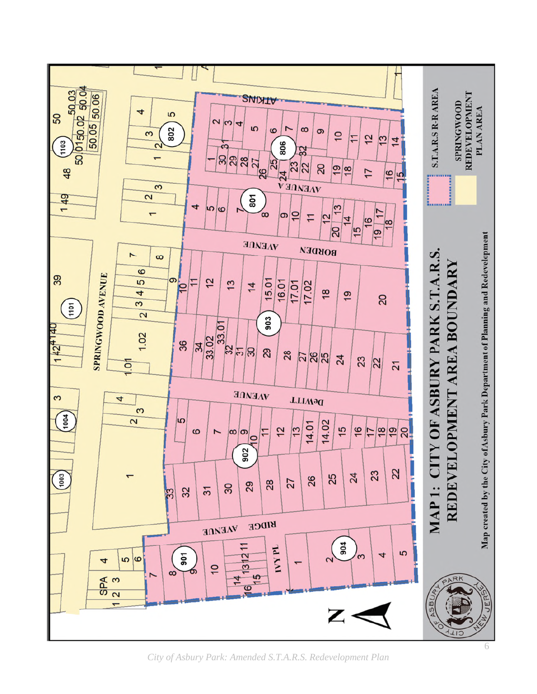

*City of Asbury Park: Amended S.T.A.R.S. Redevelopment Plan*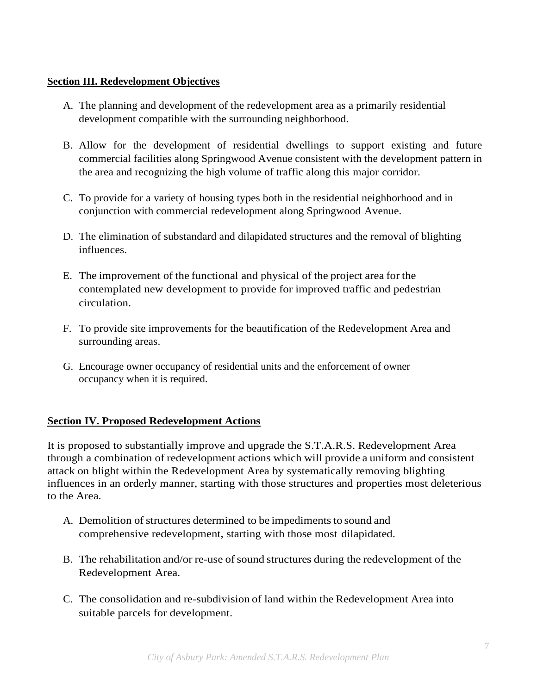#### **Section III. Redevelopment Objectives**

- A. The planning and development of the redevelopment area as a primarily residential development compatible with the surrounding neighborhood.
- B. Allow for the development of residential dwellings to support existing and future commercial facilities along Springwood Avenue consistent with the development pattern in the area and recognizing the high volume of traffic along this major corridor.
- C. To provide for a variety of housing types both in the residential neighborhood and in conjunction with commercial redevelopment along Springwood Avenue.
- D. The elimination of substandard and dilapidated structures and the removal of blighting influences.
- E. The improvement of the functional and physical of the project area for the contemplated new development to provide for improved traffic and pedestrian circulation.
- F. To provide site improvements for the beautification of the Redevelopment Area and surrounding areas.
- G. Encourage owner occupancy of residential units and the enforcement of owner occupancy when it is required.

#### **Section IV. Proposed Redevelopment Actions**

It is proposed to substantially improve and upgrade the S.T.A.R.S. Redevelopment Area through a combination of redevelopment actions which will provide a uniform and consistent attack on blight within the Redevelopment Area by systematically removing blighting influences in an orderly manner, starting with those structures and properties most deleterious to the Area.

- A. Demolition of structures determined to be impediments to sound and comprehensive redevelopment, starting with those most dilapidated.
- B. The rehabilitation and/or re-use of sound structures during the redevelopment of the Redevelopment Area.
- C. The consolidation and re-subdivision of land within the Redevelopment Area into suitable parcels for development.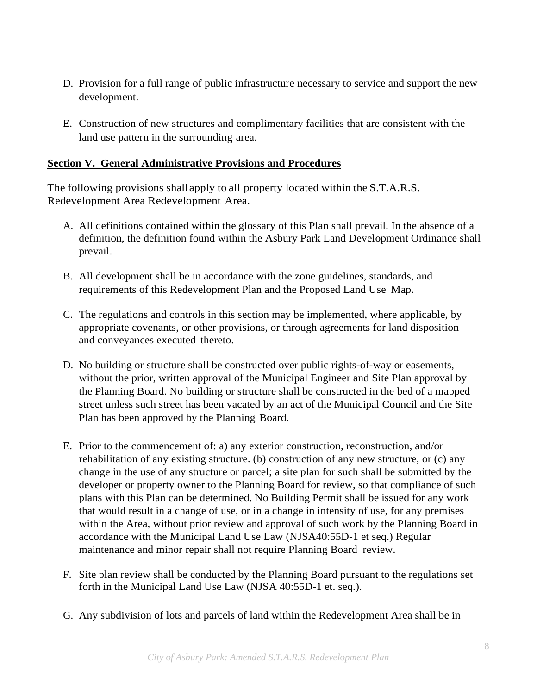- D. Provision for a full range of public infrastructure necessary to service and support the new development.
- E. Construction of new structures and complimentary facilities that are consistent with the land use pattern in the surrounding area.

#### **Section V. General Administrative Provisions and Procedures**

The following provisions shall apply to all property located within the S.T.A.R.S. Redevelopment Area Redevelopment Area.

- A. All definitions contained within the glossary of this Plan shall prevail. In the absence of a definition, the definition found within the Asbury Park Land Development Ordinance shall prevail.
- B. All development shall be in accordance with the zone guidelines, standards, and requirements of this Redevelopment Plan and the Proposed Land Use Map.
- C. The regulations and controls in this section may be implemented, where applicable, by appropriate covenants, or other provisions, or through agreements for land disposition and conveyances executed thereto.
- D. No building or structure shall be constructed over public rights-of-way or easements, without the prior, written approval of the Municipal Engineer and Site Plan approval by the Planning Board. No building or structure shall be constructed in the bed of a mapped street unless such street has been vacated by an act of the Municipal Council and the Site Plan has been approved by the Planning Board.
- E. Prior to the commencement of: a) any exterior construction, reconstruction, and/or rehabilitation of any existing structure. (b) construction of any new structure, or (c) any change in the use of any structure or parcel; a site plan for such shall be submitted by the developer or property owner to the Planning Board for review, so that compliance of such plans with this Plan can be determined. No Building Permit shall be issued for any work that would result in a change of use, or in a change in intensity of use, for any premises within the Area, without prior review and approval of such work by the Planning Board in accordance with the Municipal Land Use Law (NJSA40:55D-1 et seq.) Regular maintenance and minor repair shall not require Planning Board review.
- F. Site plan review shall be conducted by the Planning Board pursuant to the regulations set forth in the Municipal Land Use Law (NJSA 40:55D-1 et. seq.).
- G. Any subdivision of lots and parcels of land within the Redevelopment Area shall be in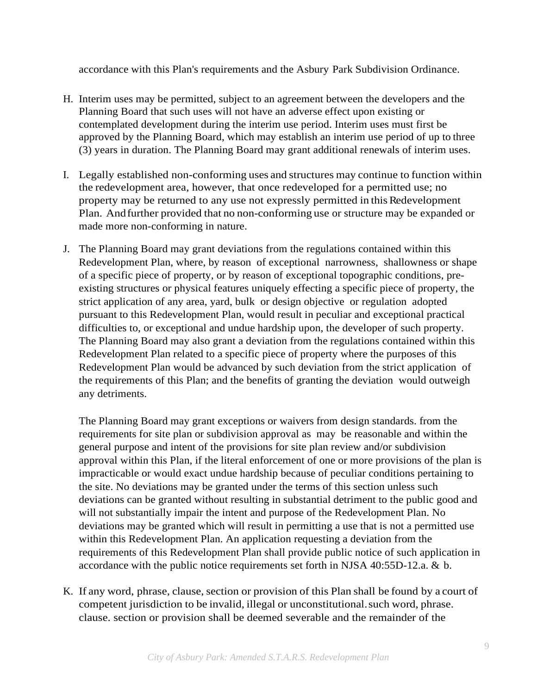accordance with this Plan's requirements and the Asbury Park Subdivision Ordinance.

- H. Interim uses may be permitted, subject to an agreement between the developers and the Planning Board that such uses will not have an adverse effect upon existing or contemplated development during the interim use period. Interim uses must first be approved by the Planning Board, which may establish an interim use period of up to three (3) years in duration. The Planning Board may grant additional renewals of interim uses.
- I. Legally established non-conforming uses and structures may continue to function within the redevelopment area, however, that once redeveloped for a permitted use; no property may be returned to any use not expressly permitted in this Redevelopment Plan. And further provided that no non-conforming use or structure may be expanded or made more non-conforming in nature.
- J. The Planning Board may grant deviations from the regulations contained within this Redevelopment Plan, where, by reason of exceptional narrowness, shallowness or shape of a specific piece of property, or by reason of exceptional topographic conditions, preexisting structures or physical features uniquely effecting a specific piece of property, the strict application of any area, yard, bulk or design objective or regulation adopted pursuant to this Redevelopment Plan, would result in peculiar and exceptional practical difficulties to, or exceptional and undue hardship upon, the developer of such property. The Planning Board may also grant a deviation from the regulations contained within this Redevelopment Plan related to a specific piece of property where the purposes of this Redevelopment Plan would be advanced by such deviation from the strict application of the requirements of this Plan; and the benefits of granting the deviation would outweigh any detriments.

The Planning Board may grant exceptions or waivers from design standards. from the requirements for site plan or subdivision approval as may be reasonable and within the general purpose and intent of the provisions for site plan review and/or subdivision approval within this Plan, if the literal enforcement of one or more provisions of the plan is impracticable or would exact undue hardship because of peculiar conditions pertaining to the site. No deviations may be granted under the terms of this section unless such deviations can be granted without resulting in substantial detriment to the public good and will not substantially impair the intent and purpose of the Redevelopment Plan. No deviations may be granted which will result in permitting a use that is not a permitted use within this Redevelopment Plan. An application requesting a deviation from the requirements of this Redevelopment Plan shall provide public notice of such application in accordance with the public notice requirements set forth in NJSA 40:55D-12.a. & b.

K. If any word, phrase, clause, section or provision of this Plan shall be found by a court of competent jurisdiction to be invalid, illegal or unconstitutional. such word, phrase. clause. section or provision shall be deemed severable and the remainder of the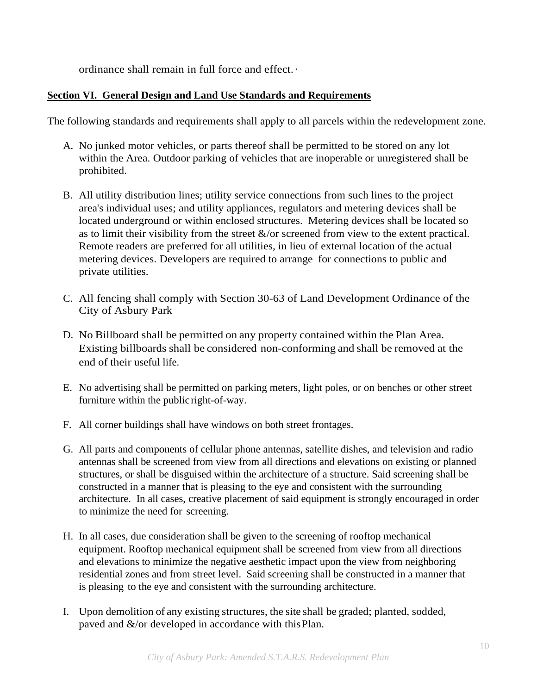ordinance shall remain in full force and effect. ·

#### **Section VI. General Design and Land Use Standards and Requirements**

The following standards and requirements shall apply to all parcels within the redevelopment zone.

- A. No junked motor vehicles, or parts thereof shall be permitted to be stored on any lot within the Area. Outdoor parking of vehicles that are inoperable or unregistered shall be prohibited.
- B. All utility distribution lines; utility service connections from such lines to the project area's individual uses; and utility appliances, regulators and metering devices shall be located underground or within enclosed structures. Metering devices shall be located so as to limit their visibility from the street  $\&$ /or screened from view to the extent practical. Remote readers are preferred for all utilities, in lieu of external location of the actual metering devices. Developers are required to arrange for connections to public and private utilities.
- C. All fencing shall comply with Section 30-63 of Land Development Ordinance of the City of Asbury Park
- D. No Billboard shall be permitted on any property contained within the Plan Area. Existing billboards shall be considered non-conforming and shall be removed at the end of their useful life.
- E. No advertising shall be permitted on parking meters, light poles, or on benches or other street furniture within the public right-of-way.
- F. All corner buildings shall have windows on both street frontages.
- G. All parts and components of cellular phone antennas, satellite dishes, and television and radio antennas shall be screened from view from all directions and elevations on existing or planned structures, or shall be disguised within the architecture of a structure. Said screening shall be constructed in a manner that is pleasing to the eye and consistent with the surrounding architecture. In all cases, creative placement of said equipment is strongly encouraged in order to minimize the need for screening.
- H. In all cases, due consideration shall be given to the screening of rooftop mechanical equipment. Rooftop mechanical equipment shall be screened from view from all directions and elevations to minimize the negative aesthetic impact upon the view from neighboring residential zones and from street level. Said screening shall be constructed in a manner that is pleasing to the eye and consistent with the surrounding architecture.
- I. Upon demolition of any existing structures, the site shall be graded; planted, sodded, paved and  $\&$ /or developed in accordance with this Plan.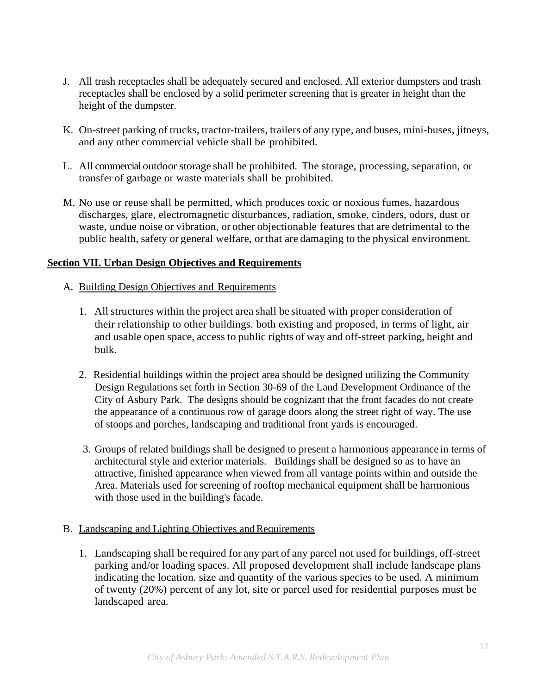- J. All trash receptacles shall be adequately secured and enclosed. All exterior dumpsters and trash receptacles shall be enclosed by a solid perimeter screening that is greater in height than the height of the dumpster.
- K. On-street parking of trucks, tractor-trailers, trailers of any type, and buses, mini-buses, jitneys, and any other commercial vehicle shall be prohibited.
- L. All commercial outdoor storage shall be prohibited. The storage, processing, separation, or transfer of garbage or waste materials shall be prohibited.
- M. No use or reuse shall be permitted, which produces toxic or noxious fumes, hazardous discharges, glare, electromagnetic disturbances, radiation, smoke, cinders, odors, dust or waste, undue noise or vibration, or other objectionable features that are detrimental to the public health, safety or general welfare, or that are damaging to the physical environment.

#### **Section VII. Urban Design Objectives and Requirements**

#### A. Building Design Objectives and Requirements

- 1. All structures within the project area shall be situated with proper consideration of their relationship to other buildings. both existing and proposed, in terms of light, air and usable open space, access to public rights of way and off-street parking, height and bulk.
- 2. Residential buildings within the project area should be designed utilizing the Community Design Regulations set forth in Section 30-69 of the Land Development Ordinance of the City of Asbury Park. The designs should be cognizant that the front facades do not create the appearance of a continuous row of garage doors along the street right of way. The use of stoops and porches, landscaping and traditional front yards is encouraged.
- 3. Groups of related buildings shall be designed to present a harmonious appearance in terms of architectural style and exterior materials. Buildings shall be designed so as to have an attractive, finished appearance when viewed from all vantage points within and outside the Area. Materials used for screening of rooftop mechanical equipment shall be harmonious with those used in the building's facade.

#### B. Landscaping and Lighting Objectives and Requirements

1. Landscaping shall be required for any part of any parcel not used for buildings, off-street parking and/or loading spaces. All proposed development shall include landscape plans indicating the location. size and quantity of the various species to be used. A minimum of twenty (20%) percent of any lot, site or parcel used for residential purposes must be landscaped area.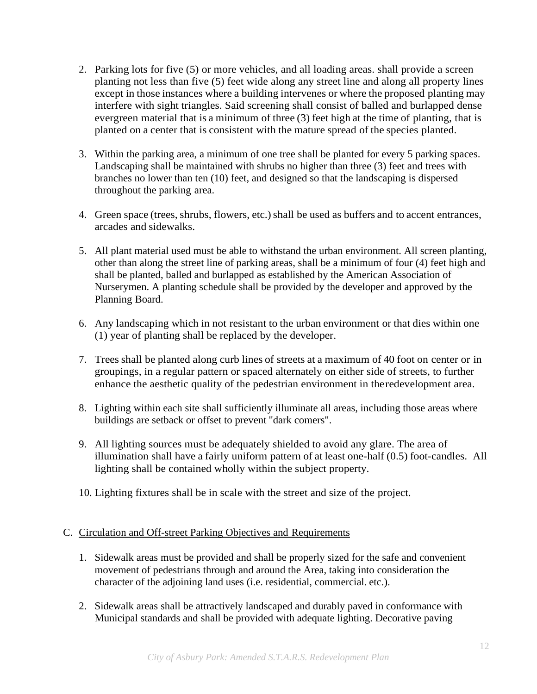- 2. Parking lots for five (5) or more vehicles, and all loading areas. shall provide a screen planting not less than five (5) feet wide along any street line and along all property lines except in those instances where a building intervenes or where the proposed planting may interfere with sight triangles. Said screening shall consist of balled and burlapped dense evergreen material that is a minimum of three (3) feet high at the time of planting, that is planted on a center that is consistent with the mature spread of the species planted.
- 3. Within the parking area, a minimum of one tree shall be planted for every 5 parking spaces. Landscaping shall be maintained with shrubs no higher than three (3) feet and trees with branches no lower than ten (10) feet, and designed so that the landscaping is dispersed throughout the parking area.
- 4. Green space (trees, shrubs, flowers, etc.) shall be used as buffers and to accent entrances, arcades and sidewalks.
- 5. All plant material used must be able to withstand the urban environment. All screen planting, other than along the street line of parking areas, shall be a minimum of four (4) feet high and shall be planted, balled and burlapped as established by the American Association of Nurserymen. A planting schedule shall be provided by the developer and approved by the Planning Board.
- 6. Any landscaping which in not resistant to the urban environment or that dies within one (1) year of planting shall be replaced by the developer.
- 7. Trees shall be planted along curb lines of streets at a maximum of 40 foot on center or in groupings, in a regular pattern or spaced alternately on either side of streets, to further enhance the aesthetic quality of the pedestrian environment in the redevelopment area.
- 8. Lighting within each site shall sufficiently illuminate all areas, including those areas where buildings are setback or offset to prevent "dark comers".
- 9. All lighting sources must be adequately shielded to avoid any glare. The area of illumination shall have a fairly uniform pattern of at least one-half (0.5) foot-candles. All lighting shall be contained wholly within the subject property.
- 10. Lighting fixtures shall be in scale with the street and size of the project.

#### C. Circulation and Off-street Parking Objectives and Requirements

- 1. Sidewalk areas must be provided and shall be properly sized for the safe and convenient movement of pedestrians through and around the Area, taking into consideration the character of the adjoining land uses (i.e. residential, commercial. etc.).
- 2. Sidewalk areas shall be attractively landscaped and durably paved in conformance with Municipal standards and shall be provided with adequate lighting. Decorative paving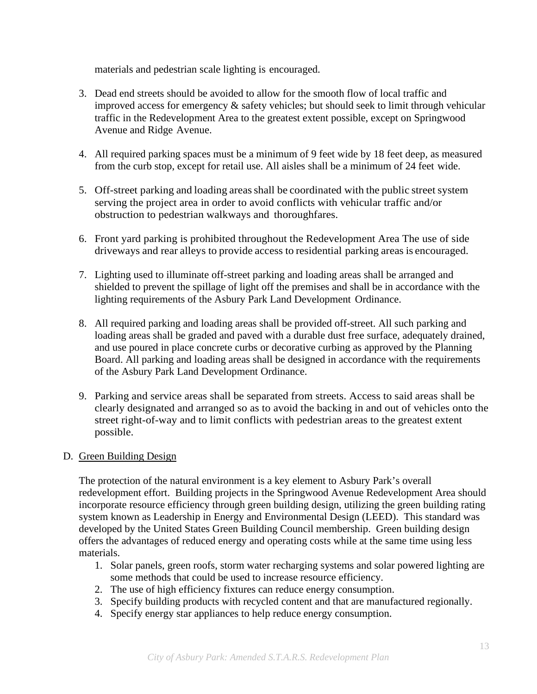materials and pedestrian scale lighting is encouraged.

- 3. Dead end streets should be avoided to allow for the smooth flow of local traffic and improved access for emergency & safety vehicles; but should seek to limit through vehicular traffic in the Redevelopment Area to the greatest extent possible, except on Springwood Avenue and Ridge Avenue.
- 4. All required parking spaces must be a minimum of 9 feet wide by 18 feet deep, as measured from the curb stop, except for retail use. All aisles shall be a minimum of 24 feet wide.
- 5. Off-street parking and loading areas shall be coordinated with the public street system serving the project area in order to avoid conflicts with vehicular traffic and/or obstruction to pedestrian walkways and thoroughfares.
- 6. Front yard parking is prohibited throughout the Redevelopment Area The use of side driveways and rear alleys to provide access to residential parking areas is encouraged.
- 7. Lighting used to illuminate off-street parking and loading areas shall be arranged and shielded to prevent the spillage of light off the premises and shall be in accordance with the lighting requirements of the Asbury Park Land Development Ordinance.
- 8. All required parking and loading areas shall be provided off-street. All such parking and loading areas shall be graded and paved with a durable dust free surface, adequately drained, and use poured in place concrete curbs or decorative curbing as approved by the Planning Board. All parking and loading areas shall be designed in accordance with the requirements of the Asbury Park Land Development Ordinance.
- 9. Parking and service areas shall be separated from streets. Access to said areas shall be clearly designated and arranged so as to avoid the backing in and out of vehicles onto the street right-of-way and to limit conflicts with pedestrian areas to the greatest extent possible.

#### D. Green Building Design

The protection of the natural environment is a key element to Asbury Park's overall redevelopment effort. Building projects in the Springwood Avenue Redevelopment Area should incorporate resource efficiency through green building design, utilizing the green building rating system known as Leadership in Energy and Environmental Design (LEED). This standard was developed by the United States Green Building Council membership. Green building design offers the advantages of reduced energy and operating costs while at the same time using less materials.

- 1. Solar panels, green roofs, storm water recharging systems and solar powered lighting are some methods that could be used to increase resource efficiency.
- 2. The use of high efficiency fixtures can reduce energy consumption.
- 3. Specify building products with recycled content and that are manufactured regionally.
- 4. Specify energy star appliances to help reduce energy consumption.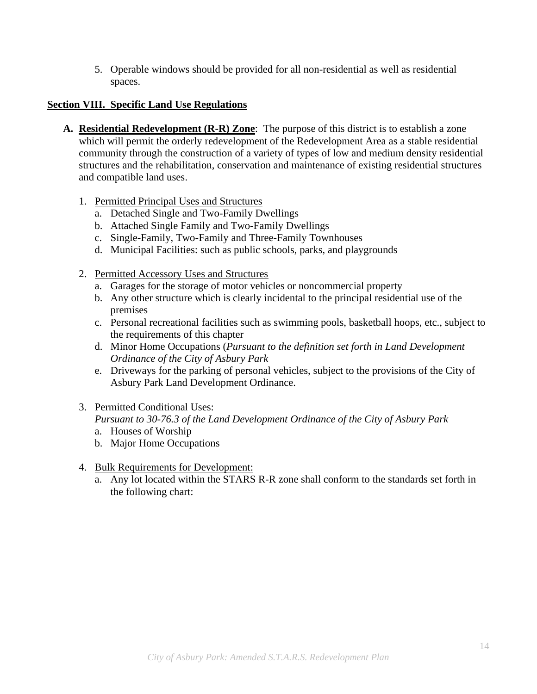5. Operable windows should be provided for all non-residential as well as residential spaces.

#### **Section VIII. Specific Land Use Regulations**

- **A. Residential Redevelopment (R-R) Zone**: The purpose of this district is to establish a zone which will permit the orderly redevelopment of the Redevelopment Area as a stable residential community through the construction of a variety of types of low and medium density residential structures and the rehabilitation, conservation and maintenance of existing residential structures and compatible land uses.
	- 1. Permitted Principal Uses and Structures
		- a. Detached Single and Two-Family Dwellings
		- b. Attached Single Family and Two-Family Dwellings
		- c. Single-Family, Two-Family and Three-Family Townhouses
		- d. Municipal Facilities: such as public schools, parks, and playgrounds
	- 2. Permitted Accessory Uses and Structures
		- a. Garages for the storage of motor vehicles or noncommercial property
		- b. Any other structure which is clearly incidental to the principal residential use of the premises
		- c. Personal recreational facilities such as swimming pools, basketball hoops, etc., subject to the requirements of this chapter
		- d. Minor Home Occupations (*Pursuant to the definition set forth in Land Development Ordinance of the City of Asbury Park*
		- e. Driveways for the parking of personal vehicles, subject to the provisions of the City of Asbury Park Land Development Ordinance.
	- 3. Permitted Conditional Uses:

### *Pursuant to 30-76.3 of the Land Development Ordinance of the City of Asbury Park*

- a. Houses of Worship
- b. Major Home Occupations
- 4. Bulk Requirements for Development:
	- a. Any lot located within the STARS R-R zone shall conform to the standards set forth in the following chart: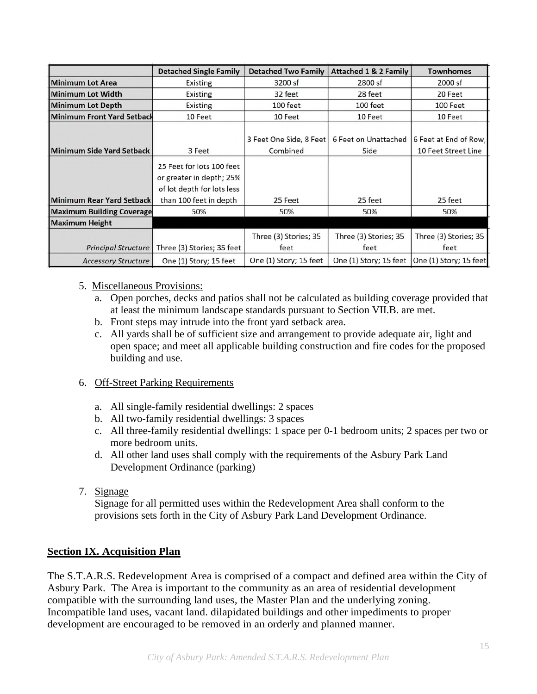|                                   | <b>Detached Single Family</b>                                                                                 | <b>Detached Two Family</b>          | <b>Attached 1 &amp; 2 Family</b>                | <b>Townhomes</b>                             |
|-----------------------------------|---------------------------------------------------------------------------------------------------------------|-------------------------------------|-------------------------------------------------|----------------------------------------------|
| <b>Minimum Lot Area</b>           | Existing                                                                                                      | 3200 sf                             | 2800 sf                                         | 2000 sf                                      |
| <b>Minimum Lot Width</b>          | Existing                                                                                                      | 32 feet                             | 28 feet                                         | 20 Feet                                      |
| <b>Minimum Lot Depth</b>          | Existing                                                                                                      | 100 feet                            | 100 feet                                        | 100 Feet                                     |
| <b>Minimum Front Yard Setback</b> | 10 Feet                                                                                                       | 10 Feet                             | 10 Feet                                         | 10 Feet                                      |
| Minimum Side Yard Setback         | 3 Feet                                                                                                        | 3 Feet One Side, 8 Feet<br>Combined | 6 Feet on Unattached<br>Side                    | 6 Feet at End of Row,<br>10 Feet Street Line |
| <b>Minimum Rear Yard Setback</b>  | 25 Feet for lots 100 feet<br>or greater in depth; 25%<br>of lot depth for lots less<br>than 100 feet in depth | 25 Feet                             | 25 feet                                         | 25 feet                                      |
| <b>Maximum Building Coverage</b>  | 50%                                                                                                           | 50%                                 | 50%                                             | 50%                                          |
| <b>Maximum Height</b>             |                                                                                                               |                                     |                                                 |                                              |
|                                   |                                                                                                               | Three (3) Stories; 35               | Three (3) Stories; 35                           | Three (3) Stories; 35                        |
| Principal Structure               | Three (3) Stories; 35 feet                                                                                    | feet                                | feet                                            | feet                                         |
| <b>Accessory Structure</b>        | One (1) Story; 15 feet                                                                                        | One (1) Story; 15 feet              | One (1) Story; 15 feet   One (1) Story; 15 feet |                                              |

#### 5. Miscellaneous Provisions:

- a. Open porches, decks and patios shall not be calculated as building coverage provided that at least the minimum landscape standards pursuant to Section VII.B. are met.
- b. Front steps may intrude into the front yard setback area.
- c. All yards shall be of sufficient size and arrangement to provide adequate air, light and open space; and meet all applicable building construction and fire codes for the proposed building and use.

#### 6. Off-Street Parking Requirements

- a. All single-family residential dwellings: 2 spaces
- b. All two-family residential dwellings: 3 spaces
- c. All three-family residential dwellings: 1 space per 0-1 bedroom units; 2 spaces per two or more bedroom units.
- d. All other land uses shall comply with the requirements of the Asbury Park Land Development Ordinance (parking)
- 7. Signage

Signage for all permitted uses within the Redevelopment Area shall conform to the provisions sets forth in the City of Asbury Park Land Development Ordinance.

#### **Section IX. Acquisition Plan**

The S.T.A.R.S. Redevelopment Area is comprised of a compact and defined area within the City of Asbury Park. The Area is important to the community as an area of residential development compatible with the surrounding land uses, the Master Plan and the underlying zoning. Incompatible land uses, vacant land. dilapidated buildings and other impediments to proper development are encouraged to be removed in an orderly and planned manner.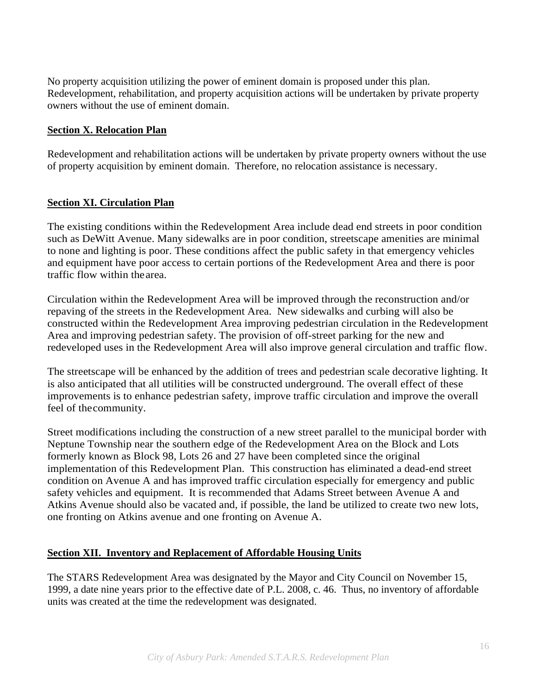No property acquisition utilizing the power of eminent domain is proposed under this plan. Redevelopment, rehabilitation, and property acquisition actions will be undertaken by private property owners without the use of eminent domain.

#### **Section X. Relocation Plan**

Redevelopment and rehabilitation actions will be undertaken by private property owners without the use of property acquisition by eminent domain. Therefore, no relocation assistance is necessary.

#### **Section XI. Circulation Plan**

The existing conditions within the Redevelopment Area include dead end streets in poor condition such as DeWitt Avenue. Many sidewalks are in poor condition, streetscape amenities are minimal to none and lighting is poor. These conditions affect the public safety in that emergency vehicles and equipment have poor access to certain portions of the Redevelopment Area and there is poor traffic flow within the area.

Circulation within the Redevelopment Area will be improved through the reconstruction and/or repaving of the streets in the Redevelopment Area. New sidewalks and curbing will also be constructed within the Redevelopment Area improving pedestrian circulation in the Redevelopment Area and improving pedestrian safety. The provision of off-street parking for the new and redeveloped uses in the Redevelopment Area will also improve general circulation and traffic flow.

The streetscape will be enhanced by the addition of trees and pedestrian scale decorative lighting. It is also anticipated that all utilities will be constructed underground. The overall effect of these improvements is to enhance pedestrian safety, improve traffic circulation and improve the overall feel of the community.

Street modifications including the construction of a new street parallel to the municipal border with Neptune Township near the southern edge of the Redevelopment Area on the Block and Lots formerly known as Block 98, Lots 26 and 27 have been completed since the original implementation of this Redevelopment Plan. This construction has eliminated a dead-end street condition on Avenue A and has improved traffic circulation especially for emergency and public safety vehicles and equipment. It is recommended that Adams Street between Avenue A and Atkins Avenue should also be vacated and, if possible, the land be utilized to create two new lots, one fronting on Atkins avenue and one fronting on Avenue A.

#### **Section XII. Inventory and Replacement of Affordable Housing Units**

The STARS Redevelopment Area was designated by the Mayor and City Council on November 15, 1999, a date nine years prior to the effective date of P.L. 2008, c. 46. Thus, no inventory of affordable units was created at the time the redevelopment was designated.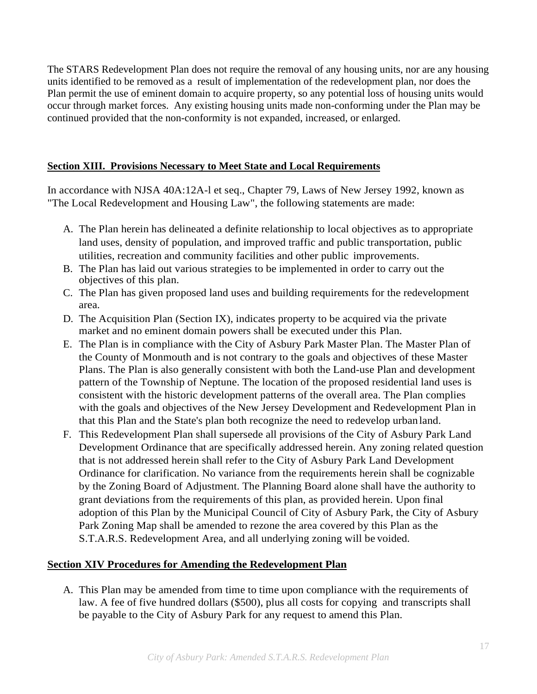The STARS Redevelopment Plan does not require the removal of any housing units, nor are any housing units identified to be removed as a result of implementation of the redevelopment plan, nor does the Plan permit the use of eminent domain to acquire property, so any potential loss of housing units would occur through market forces. Any existing housing units made non-conforming under the Plan may be continued provided that the non-conformity is not expanded, increased, or enlarged.

#### **Section XIII. Provisions Necessary to Meet State and Local Requirements**

In accordance with NJSA 40A:12A-l et seq., Chapter 79, Laws of New Jersey 1992, known as "The Local Redevelopment and Housing Law", the following statements are made:

- A. The Plan herein has delineated a definite relationship to local objectives as to appropriate land uses, density of population, and improved traffic and public transportation, public utilities, recreation and community facilities and other public improvements.
- B. The Plan has laid out various strategies to be implemented in order to carry out the objectives of this plan.
- C. The Plan has given proposed land uses and building requirements for the redevelopment area.
- D. The Acquisition Plan (Section IX), indicates property to be acquired via the private market and no eminent domain powers shall be executed under this Plan.
- E. The Plan is in compliance with the City of Asbury Park Master Plan. The Master Plan of the County of Monmouth and is not contrary to the goals and objectives of these Master Plans. The Plan is also generally consistent with both the Land-use Plan and development pattern of the Township of Neptune. The location of the proposed residential land uses is consistent with the historic development patterns of the overall area. The Plan complies with the goals and objectives of the New Jersey Development and Redevelopment Plan in that this Plan and the State's plan both recognize the need to redevelop urban land.
- F. This Redevelopment Plan shall supersede all provisions of the City of Asbury Park Land Development Ordinance that are specifically addressed herein. Any zoning related question that is not addressed herein shall refer to the City of Asbury Park Land Development Ordinance for clarification. No variance from the requirements herein shall be cognizable by the Zoning Board of Adjustment. The Planning Board alone shall have the authority to grant deviations from the requirements of this plan, as provided herein. Upon final adoption of this Plan by the Municipal Council of City of Asbury Park, the City of Asbury Park Zoning Map shall be amended to rezone the area covered by this Plan as the S.T.A.R.S. Redevelopment Area, and all underlying zoning will be voided.

#### **Section XIV Procedures for Amending the Redevelopment Plan**

A. This Plan may be amended from time to time upon compliance with the requirements of law. A fee of five hundred dollars (\$500), plus all costs for copying and transcripts shall be payable to the City of Asbury Park for any request to amend this Plan.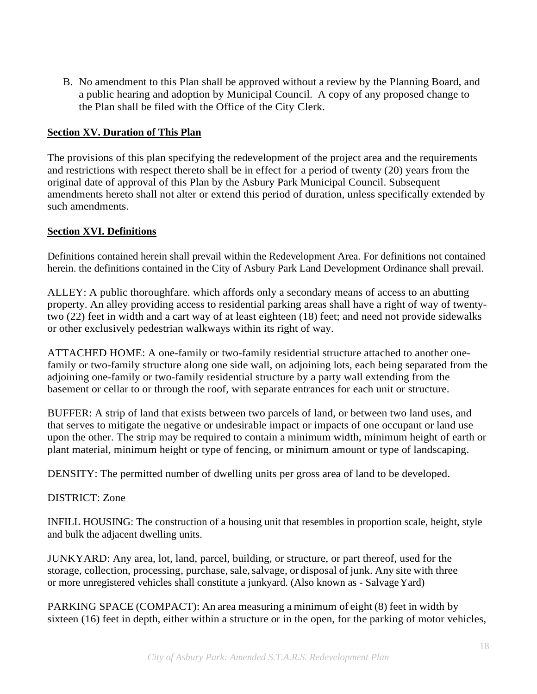B. No amendment to this Plan shall be approved without a review by the Planning Board, and a public hearing and adoption by Municipal Council. A copy of any proposed change to the Plan shall be filed with the Office of the City Clerk.

#### **Section XV. Duration of This Plan**

The provisions of this plan specifying the redevelopment of the project area and the requirements and restrictions with respect thereto shall be in effect for a period of twenty (20) years from the original date of approval of this Plan by the Asbury Park Municipal Council. Subsequent amendments hereto shall not alter or extend this period of duration, unless specifically extended by such amendments.

#### **Section XVI. Definitions**

Definitions contained herein shall prevail within the Redevelopment Area. For definitions not contained herein. the definitions contained in the City of Asbury Park Land Development Ordinance shall prevail.

ALLEY: A public thoroughfare. which affords only a secondary means of access to an abutting property. An alley providing access to residential parking areas shall have a right of way of twentytwo (22) feet in width and a cart way of at least eighteen (18) feet; and need not provide sidewalks or other exclusively pedestrian walkways within its right of way.

ATTACHED HOME: A one-family or two-family residential structure attached to another onefamily or two-family structure along one side wall, on adjoining lots, each being separated from the adjoining one-family or two-family residential structure by a party wall extending from the basement or cellar to or through the roof, with separate entrances for each unit or structure.

BUFFER: A strip of land that exists between two parcels of land, or between two land uses, and that serves to mitigate the negative or undesirable impact or impacts of one occupant or land use upon the other. The strip may be required to contain a minimum width, minimum height of earth or plant material, minimum height or type of fencing, or minimum amount or type of landscaping.

DENSITY: The permitted number of dwelling units per gross area of land to be developed.

#### DISTRICT: Zone

INFILL HOUSING: The construction of a housing unit that resembles in proportion scale, height, style and bulk the adjacent dwelling units.

JUNKYARD: Any area, lot, land, parcel, building, or structure, or part thereof, used for the storage, collection, processing, purchase, sale, salvage, or disposal of junk. Any site with three or more unregistered vehicles shall constitute a junkyard. (Also known as - Salvage Yard)

PARKING SPACE (COMPACT): An area measuring a minimum of eight (8) feet in width by sixteen (16) feet in depth, either within a structure or in the open, for the parking of motor vehicles,